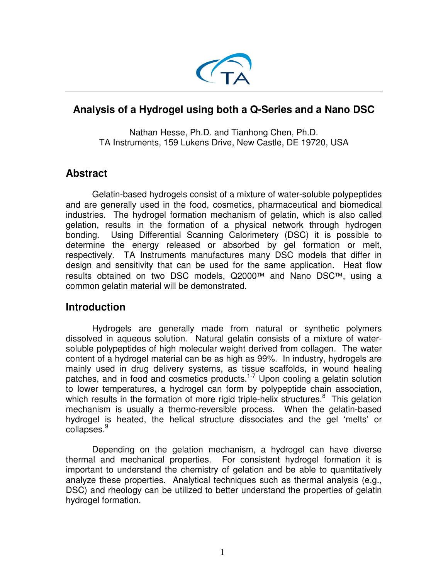

# **Analysis of a Hydrogel using both a Q-Series and a Nano DSC**

Nathan Hesse, Ph.D. and Tianhong Chen, Ph.D. TA Instruments, 159 Lukens Drive, New Castle, DE 19720, USA

# **Abstract**

Gelatin-based hydrogels consist of a mixture of water-soluble polypeptides and are generally used in the food, cosmetics, pharmaceutical and biomedical industries. The hydrogel formation mechanism of gelatin, which is also called gelation, results in the formation of a physical network through hydrogen bonding. Using Differential Scanning Calorimetery (DSC) it is possible to determine the energy released or absorbed by gel formation or melt, respectively. TA Instruments manufactures many DSC models that differ in design and sensitivity that can be used for the same application. Heat flow results obtained on two DSC models, Q2000™ and Nano DSC™, using a common gelatin material will be demonstrated.

# **Introduction**

Hydrogels are generally made from natural or synthetic polymers dissolved in aqueous solution. Natural gelatin consists of a mixture of watersoluble polypeptides of high molecular weight derived from collagen. The water content of a hydrogel material can be as high as 99%. In industry, hydrogels are mainly used in drug delivery systems, as tissue scaffolds, in wound healing patches, and in food and cosmetics products.<sup>1-7</sup> Upon cooling a gelatin solution to lower temperatures, a hydrogel can form by polypeptide chain association, which results in the formation of more rigid triple-helix structures.<sup>8</sup> This gelation mechanism is usually a thermo-reversible process. When the gelatin-based hydrogel is heated, the helical structure dissociates and the gel 'melts' or collapses.<sup>9</sup>

Depending on the gelation mechanism, a hydrogel can have diverse thermal and mechanical properties. For consistent hydrogel formation it is important to understand the chemistry of gelation and be able to quantitatively analyze these properties. Analytical techniques such as thermal analysis (e.g., DSC) and rheology can be utilized to better understand the properties of gelatin hydrogel formation.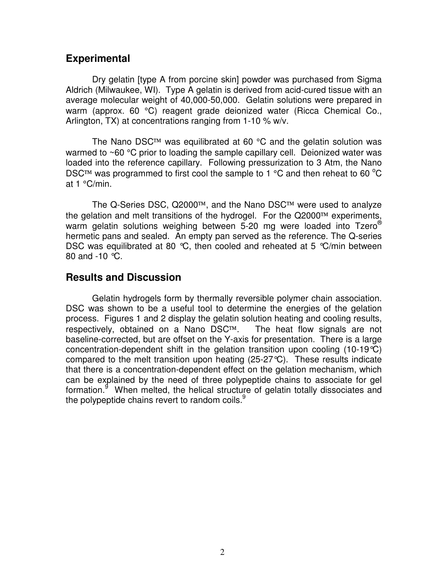#### **Experimental**

Dry gelatin [type A from porcine skin] powder was purchased from Sigma Aldrich (Milwaukee, WI). Type A gelatin is derived from acid-cured tissue with an average molecular weight of 40,000-50,000. Gelatin solutions were prepared in warm (approx. 60 °C) reagent grade deionized water (Ricca Chemical Co., Arlington, TX) at concentrations ranging from 1-10 % w/v.

The Nano DSC<sup>TM</sup> was equilibrated at 60  $\degree$ C and the gelatin solution was warmed to ~60 °C prior to loading the sample capillary cell. Deionized water was loaded into the reference capillary. Following pressurization to 3 Atm, the Nano DSC<sup>TM</sup> was programmed to first cool the sample to 1  $\degree$ C and then reheat to 60  $\degree$ C at 1 °C/min.

The Q-Series DSC,  $Q2000^{TM}$ , and the Nano DSC<sup>TM</sup> were used to analyze the gelation and melt transitions of the hydrogel. For the  $Q2000<sup>TM</sup>$  experiments, warm gelatin solutions weighing between 5-20 mg were loaded into Tzero<sup>®</sup> hermetic pans and sealed. An empty pan served as the reference. The Q-series DSC was equilibrated at 80  $\degree$ C, then cooled and reheated at 5  $\degree$ C/min between 80 and -10 °C.

### **Results and Discussion**

Gelatin hydrogels form by thermally reversible polymer chain association. DSC was shown to be a useful tool to determine the energies of the gelation process. Figures 1 and 2 display the gelatin solution heating and cooling results, respectively, obtained on a Nano  $DSC^{TM}$ . The heat flow signals are not baseline-corrected, but are offset on the Y-axis for presentation. There is a large concentration-dependent shift in the gelation transition upon cooling (10-19°C) compared to the melt transition upon heating  $(25-27^{\circ}C)$ . These results indicate that there is a concentration-dependent effect on the gelation mechanism, which can be explained by the need of three polypeptide chains to associate for gel formation.<sup>9</sup> When melted, the helical structure of gelatin totally dissociates and the polypeptide chains revert to random coils. $9$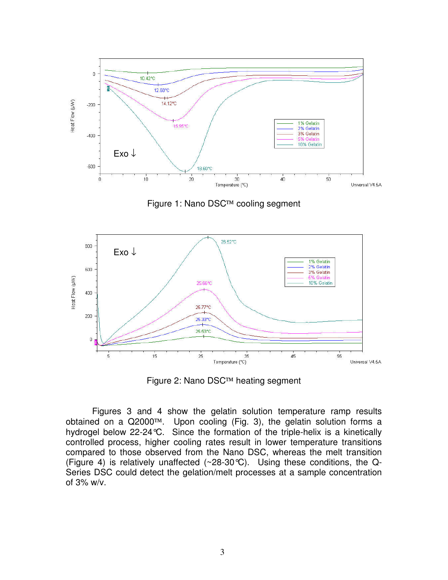

Figure 1: Nano DSC™ cooling segment



Figure 2: Nano DSC™ heating segment

Figures 3 and 4 show the gelatin solution temperature ramp results obtained on a Q2000™. Upon cooling (Fig. 3), the gelatin solution forms a hydrogel below 22-24°C. Since the formation of the triple-helix is a kinetically controlled process, higher cooling rates result in lower temperature transitions compared to those observed from the Nano DSC, whereas the melt transition (Figure 4) is relatively unaffected (~28-30°C). Using these conditions, the Q-Series DSC could detect the gelation/melt processes at a sample concentration of 3% w/v.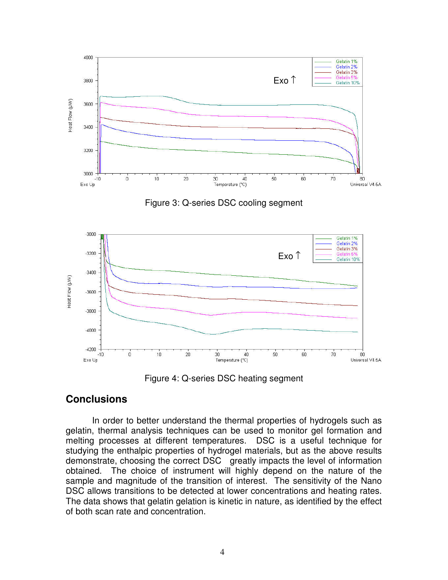

Figure 3: Q-series DSC cooling segment



Figure 4: Q-series DSC heating segment

#### **Conclusions**

In order to better understand the thermal properties of hydrogels such as gelatin, thermal analysis techniques can be used to monitor gel formation and melting processes at different temperatures. DSC is a useful technique for studying the enthalpic properties of hydrogel materials, but as the above results demonstrate, choosing the correct DSC greatly impacts the level of information obtained. The choice of instrument will highly depend on the nature of the sample and magnitude of the transition of interest. The sensitivity of the Nano DSC allows transitions to be detected at lower concentrations and heating rates. The data shows that gelatin gelation is kinetic in nature, as identified by the effect of both scan rate and concentration.